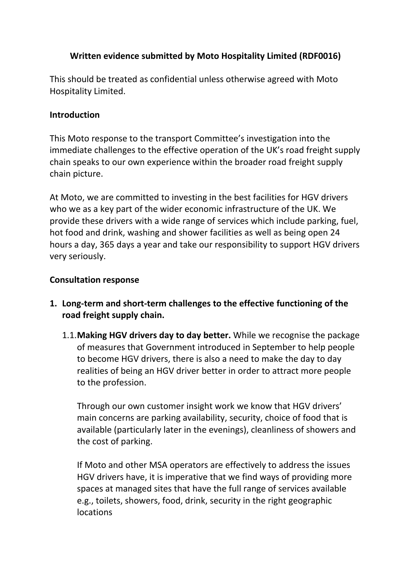## **Written evidence submitted by Moto Hospitality Limited (RDF0016)**

This should be treated as confidential unless otherwise agreed with Moto Hospitality Limited.

#### **Introduction**

This Moto response to the transport Committee's investigation into the immediate challenges to the effective operation of the UK's road freight supply chain speaks to our own experience within the broader road freight supply chain picture.

At Moto, we are committed to investing in the best facilities for HGV drivers who we as a key part of the wider economic infrastructure of the UK. We provide these drivers with a wide range of services which include parking, fuel, hot food and drink, washing and shower facilities as well as being open 24 hours a day, 365 days a year and take our responsibility to support HGV drivers very seriously.

### **Consultation response**

- **1. Long-term and short-term challenges to the effective functioning of the road freight supply chain.**
	- 1.1.**Making HGV drivers day to day better.** While we recognise the package of measures that Government introduced in September to help people to become HGV drivers, there is also a need to make the day to day realities of being an HGV driver better in order to attract more people to the profession.

Through our own customer insight work we know that HGV drivers' main concerns are parking availability, security, choice of food that is available (particularly later in the evenings), cleanliness of showers and the cost of parking.

If Moto and other MSA operators are effectively to address the issues HGV drivers have, it is imperative that we find ways of providing more spaces at managed sites that have the full range of services available e.g., toilets, showers, food, drink, security in the right geographic locations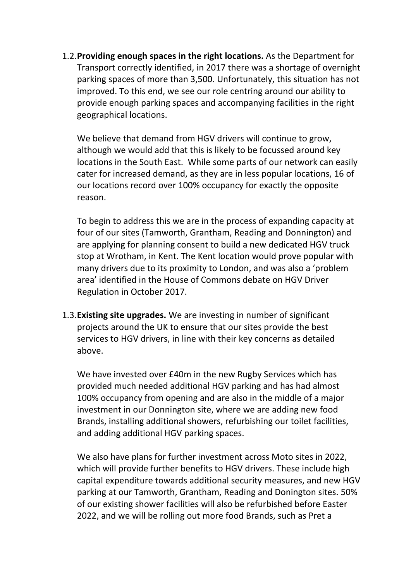1.2.**Providing enough spaces in the right locations.** As the Department for Transport correctly identified, in 2017 there was a shortage of overnight parking spaces of more than 3,500. Unfortunately, this situation has not improved. To this end, we see our role centring around our ability to provide enough parking spaces and accompanying facilities in the right geographical locations.

We believe that demand from HGV drivers will continue to grow, although we would add that this is likely to be focussed around key locations in the South East. While some parts of our network can easily cater for increased demand, as they are in less popular locations, 16 of our locations record over 100% occupancy for exactly the opposite reason.

To begin to address this we are in the process of expanding capacity at four of our sites (Tamworth, Grantham, Reading and Donnington) and are applying for planning consent to build a new dedicated HGV truck stop at Wrotham, in Kent. The Kent location would prove popular with many drivers due to its proximity to London, and was also a 'problem area' identified in the House of Commons debate on HGV Driver Regulation in October 2017.

1.3.**Existing site upgrades.** We are investing in number of significant projects around the UK to ensure that our sites provide the best services to HGV drivers, in line with their key concerns as detailed above.

We have invested over £40m in the new Rugby Services which has provided much needed additional HGV parking and has had almost 100% occupancy from opening and are also in the middle of a major investment in our Donnington site, where we are adding new food Brands, installing additional showers, refurbishing our toilet facilities, and adding additional HGV parking spaces.

We also have plans for further investment across Moto sites in 2022, which will provide further benefits to HGV drivers. These include high capital expenditure towards additional security measures, and new HGV parking at our Tamworth, Grantham, Reading and Donington sites. 50% of our existing shower facilities will also be refurbished before Easter 2022, and we will be rolling out more food Brands, such as Pret a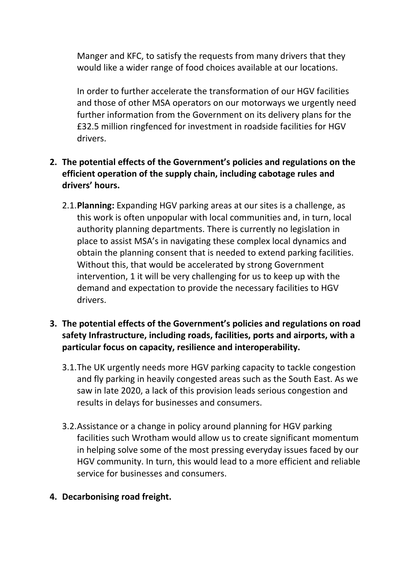Manger and KFC, to satisfy the requests from many drivers that they would like a wider range of food choices available at our locations.

In order to further accelerate the transformation of our HGV facilities and those of other MSA operators on our motorways we urgently need further information from the Government on its delivery plans for the £32.5 million ringfenced for investment in roadside facilities for HGV drivers.

# **2. The potential effects of the Government's policies and regulations on the efficient operation of the supply chain, including cabotage rules and drivers' hours.**

- 2.1.**Planning:** Expanding HGV parking areas at our sites is a challenge, as this work is often unpopular with local communities and, in turn, local authority planning departments. There is currently no legislation in place to assist MSA's in navigating these complex local dynamics and obtain the planning consent that is needed to extend parking facilities. Without this, that would be accelerated by strong Government intervention, 1 it will be very challenging for us to keep up with the demand and expectation to provide the necessary facilities to HGV drivers.
- **3. The potential effects of the Government's policies and regulations on road safety Infrastructure, including roads, facilities, ports and airports, with a particular focus on capacity, resilience and interoperability.**
	- 3.1.The UK urgently needs more HGV parking capacity to tackle congestion and fly parking in heavily congested areas such as the South East. As we saw in late 2020, a lack of this provision leads serious congestion and results in delays for businesses and consumers.
	- 3.2.Assistance or a change in policy around planning for HGV parking facilities such Wrotham would allow us to create significant momentum in helping solve some of the most pressing everyday issues faced by our HGV community. In turn, this would lead to a more efficient and reliable service for businesses and consumers.
- **4. Decarbonising road freight.**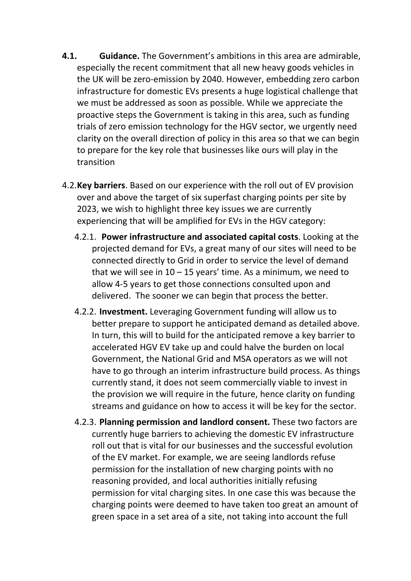- **4.1. Guidance.** The Government's ambitions in this area are admirable, especially the recent commitment that all new heavy goods vehicles in the UK will be zero-emission by 2040. However, embedding zero carbon infrastructure for domestic EVs presents a huge logistical challenge that we must be addressed as soon as possible. While we appreciate the proactive steps the Government is taking in this area, such as funding trials of zero emission technology for the HGV sector, we urgently need clarity on the overall direction of policy in this area so that we can begin to prepare for the key role that businesses like ours will play in the transition
- 4.2.**Key barriers**. Based on our experience with the roll out of EV provision over and above the target of six superfast charging points per site by 2023, we wish to highlight three key issues we are currently experiencing that will be amplified for EVs in the HGV category:
	- 4.2.1. **Power infrastructure and associated capital costs**. Looking at the projected demand for EVs, a great many of our sites will need to be connected directly to Grid in order to service the level of demand that we will see in  $10 - 15$  years' time. As a minimum, we need to allow 4-5 years to get those connections consulted upon and delivered. The sooner we can begin that process the better.
	- 4.2.2. **Investment.** Leveraging Government funding will allow us to better prepare to support he anticipated demand as detailed above. In turn, this will to build for the anticipated remove a key barrier to accelerated HGV EV take up and could halve the burden on local Government, the National Grid and MSA operators as we will not have to go through an interim infrastructure build process. As things currently stand, it does not seem commercially viable to invest in the provision we will require in the future, hence clarity on funding streams and guidance on how to access it will be key for the sector.
	- 4.2.3. **Planning permission and landlord consent.** These two factors are currently huge barriers to achieving the domestic EV infrastructure roll out that is vital for our businesses and the successful evolution of the EV market. For example, we are seeing landlords refuse permission for the installation of new charging points with no reasoning provided, and local authorities initially refusing permission for vital charging sites. In one case this was because the charging points were deemed to have taken too great an amount of green space in a set area of a site, not taking into account the full